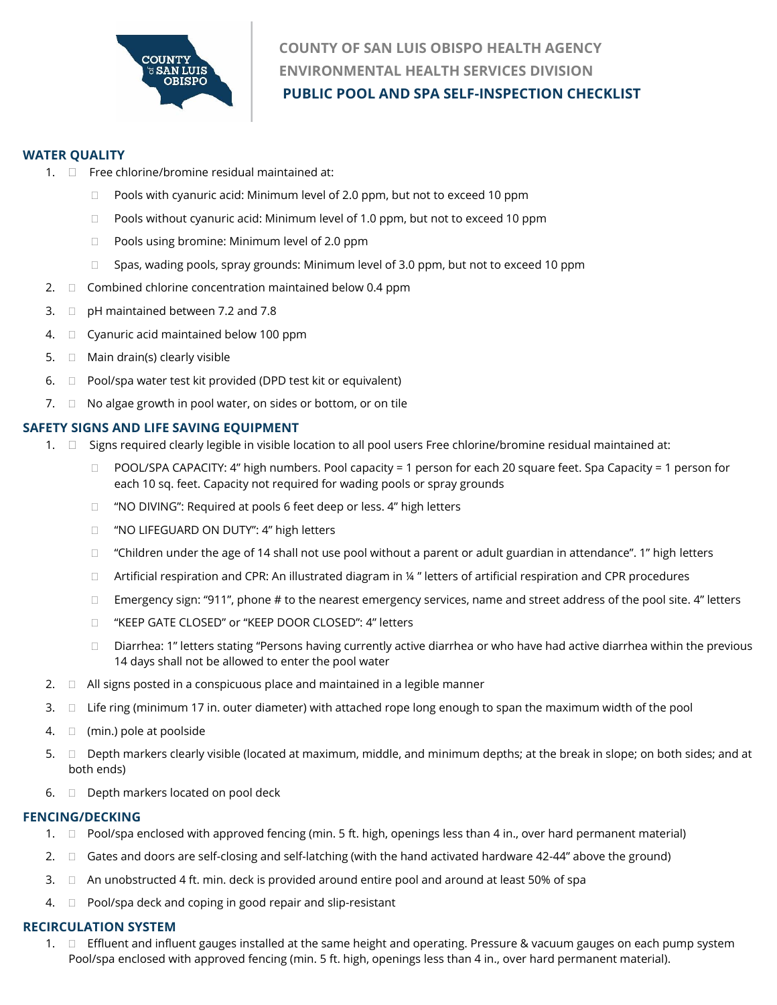

# **COUNTY OF SAN LUIS OBISPO HEALTH AGENCY ENVIRONMENTAL HEALTH SERVICES DIVISION PUBLIC POOL AND SPA SELF-INSPECTION CHECKLIST**

## **WATER QUALITY**

- 1.  $\Box$  Free chlorine/bromine residual maintained at:
	- □ Pools with cyanuric acid: Minimum level of 2.0 ppm, but not to exceed 10 ppm
	- $\Box$  Pools without cyanuric acid: Minimum level of 1.0 ppm, but not to exceed 10 ppm
	- □ Pools using bromine: Minimum level of 2.0 ppm
	- $\Box$  Spas, wading pools, spray grounds: Minimum level of 3.0 ppm, but not to exceed 10 ppm
- 2.  $\square$  Combined chlorine concentration maintained below 0.4 ppm
- 3.  $\Box$  pH maintained between 7.2 and 7.8
- 4.  $\Box$  Cyanuric acid maintained below 100 ppm
- 5.  $\Box$  Main drain(s) clearly visible
- 6.  $\Box$  Pool/spa water test kit provided (DPD test kit or equivalent)
- 7.  $\Box$  No algae growth in pool water, on sides or bottom, or on tile

## **SAFETY SIGNS AND LIFE SAVING EQUIPMENT**

- 1.  $\Box$  Signs required clearly legible in visible location to all pool users Free chlorine/bromine residual maintained at:
	- POOL/SPA CAPACITY: 4" high numbers. Pool capacity = 1 person for each 20 square feet. Spa Capacity = 1 person for each 10 sq. feet. Capacity not required for wading pools or spray grounds
	- □ "NO DIVING": Required at pools 6 feet deep or less. 4" high letters
	- □ "NO LIFEGUARD ON DUTY": 4" high letters
	- $\Box$  "Children under the age of 14 shall not use pool without a parent or adult guardian in attendance". 1" high letters
	- $\Box$  Artificial respiration and CPR: An illustrated diagram in ¼ " letters of artificial respiration and CPR procedures
	- $\Box$  Emergency sign: "911", phone # to the nearest emergency services, name and street address of the pool site. 4" letters
	- "KEEP GATE CLOSED" or "KEEP DOOR CLOSED": 4" letters
	- $\Box$  Diarrhea: 1" letters stating "Persons having currently active diarrhea or who have had active diarrhea within the previous 14 days shall not be allowed to enter the pool water
- 2.  $\Box$  All signs posted in a conspicuous place and maintained in a legible manner
- 3.  $\Box$  Life ring (minimum 17 in. outer diameter) with attached rope long enough to span the maximum width of the pool
- 4.  $\Box$  (min.) pole at poolside
- 5.  $\Box$  Depth markers clearly visible (located at maximum, middle, and minimum depths; at the break in slope; on both sides; and at both ends)
- 6.  $\Box$  Depth markers located on pool deck

# **FENCING/DECKING**

- 1.  $\Box$  Pool/spa enclosed with approved fencing (min. 5 ft. high, openings less than 4 in., over hard permanent material)
- 2.  $\Box$  Gates and doors are self-closing and self-latching (with the hand activated hardware 42-44" above the ground)
- 3.  $\Box$  An unobstructed 4 ft. min. deck is provided around entire pool and around at least 50% of spa
- $4. \Box$  Pool/spa deck and coping in good repair and slip-resistant

# **RECIRCULATION SYSTEM**

1.  $\Box$  Effluent and influent gauges installed at the same height and operating. Pressure & vacuum gauges on each pump system Pool/spa enclosed with approved fencing (min. 5 ft. high, openings less than 4 in., over hard permanent material).